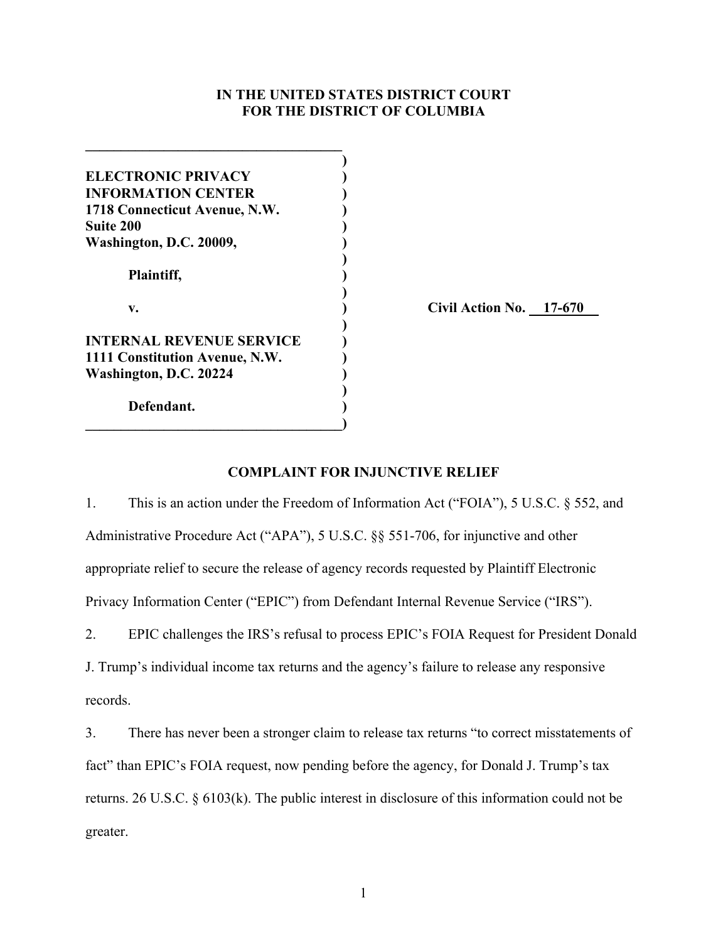## **IN THE UNITED STATES DISTRICT COURT FOR THE DISTRICT OF COLUMBIA**

| ELECTRONIC PRIVACY              |              |
|---------------------------------|--------------|
| <b>INFORMATION CENTER</b>       |              |
| 1718 Connecticut Avenue, N.W.   |              |
| <b>Suite 200</b>                |              |
| Washington, D.C. 20009,         |              |
| Plaintiff,                      |              |
| v.                              | Civil $\ell$ |
| <b>INTERNAL REVENUE SERVICE</b> |              |
| 1111 Constitution Avenue, N.W.  |              |
| Washington, D.C. 20224          |              |
| Defendant.                      |              |

**\_\_\_\_\_\_\_\_\_\_\_\_\_\_\_\_\_\_\_\_\_\_\_\_\_\_\_\_\_\_\_\_\_\_\_\_**

**v. ) Civil Action No. 17-670**

# **COMPLAINT FOR INJUNCTIVE RELIEF**

1. This is an action under the Freedom of Information Act ("FOIA"), 5 U.S.C. § 552, and Administrative Procedure Act ("APA"), 5 U.S.C. §§ 551-706, for injunctive and other appropriate relief to secure the release of agency records requested by Plaintiff Electronic Privacy Information Center ("EPIC") from Defendant Internal Revenue Service ("IRS").

2. EPIC challenges the IRS's refusal to process EPIC's FOIA Request for President Donald

J. Trump's individual income tax returns and the agency's failure to release any responsive records.

3. There has never been a stronger claim to release tax returns "to correct misstatements of fact" than EPIC's FOIA request, now pending before the agency, for Donald J. Trump's tax returns. 26 U.S.C. § 6103(k). The public interest in disclosure of this information could not be greater.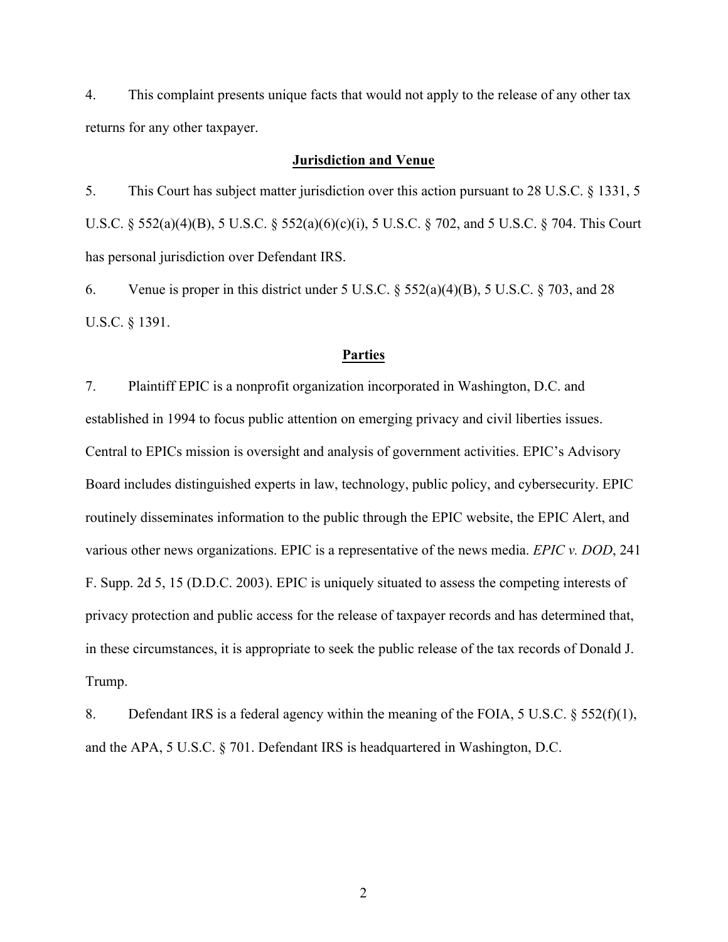4. This complaint presents unique facts that would not apply to the release of any other tax returns for any other taxpayer.

## **Jurisdiction and Venue**

5. This Court has subject matter jurisdiction over this action pursuant to 28 U.S.C. § 1331, 5 U.S.C. § 552(a)(4)(B), 5 U.S.C. § 552(a)(6)(c)(i), 5 U.S.C. § 702, and 5 U.S.C. § 704. This Court has personal jurisdiction over Defendant IRS.

6. Venue is proper in this district under 5 U.S.C.  $\S$  552(a)(4)(B), 5 U.S.C.  $\S$  703, and 28 U.S.C. § 1391.

### **Parties**

7. Plaintiff EPIC is a nonprofit organization incorporated in Washington, D.C. and established in 1994 to focus public attention on emerging privacy and civil liberties issues. Central to EPICs mission is oversight and analysis of government activities. EPIC's Advisory Board includes distinguished experts in law, technology, public policy, and cybersecurity. EPIC routinely disseminates information to the public through the EPIC website, the EPIC Alert, and various other news organizations. EPIC is a representative of the news media. *EPIC v. DOD*, 241 F. Supp. 2d 5, 15 (D.D.C. 2003). EPIC is uniquely situated to assess the competing interests of privacy protection and public access for the release of taxpayer records and has determined that, in these circumstances, it is appropriate to seek the public release of the tax records of Donald J. Trump.

8. Defendant IRS is a federal agency within the meaning of the FOIA, 5 U.S.C. § 552(f)(1), and the APA, 5 U.S.C. § 701. Defendant IRS is headquartered in Washington, D.C.

2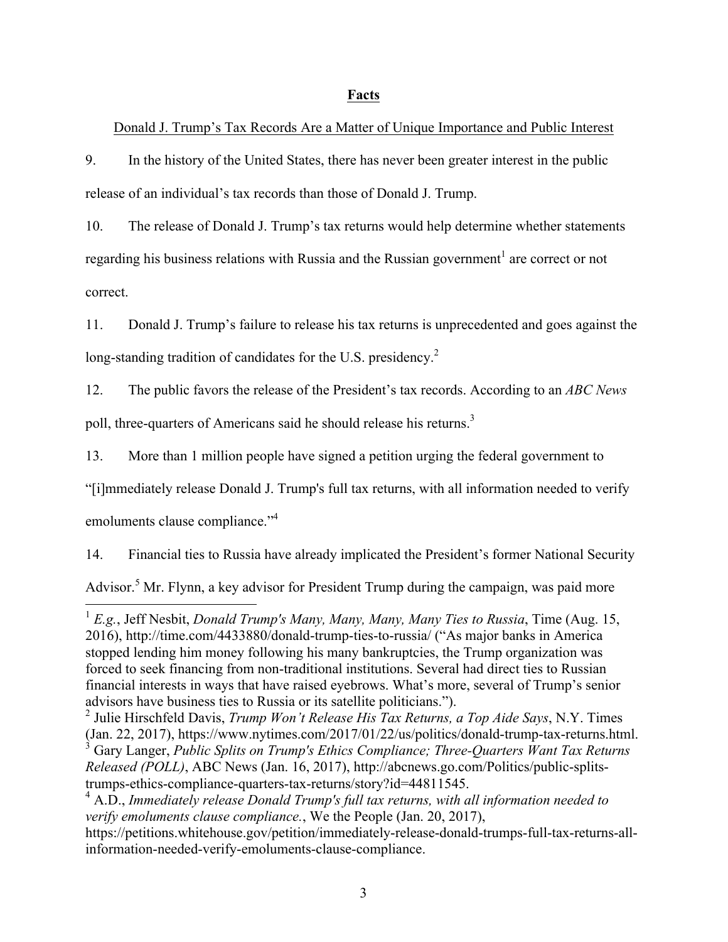## **Facts**

## Donald J. Trump's Tax Records Are a Matter of Unique Importance and Public Interest

9. In the history of the United States, there has never been greater interest in the public release of an individual's tax records than those of Donald J. Trump.

10. The release of Donald J. Trump's tax returns would help determine whether statements regarding his business relations with Russia and the Russian government<sup>1</sup> are correct or not correct.

11. Donald J. Trump's failure to release his tax returns is unprecedented and goes against the long-standing tradition of candidates for the U.S. presidency.<sup>2</sup>

12. The public favors the release of the President's tax records. According to an *ABC News* poll, three-quarters of Americans said he should release his returns.<sup>3</sup>

13. More than 1 million people have signed a petition urging the federal government to

"[i]mmediately release Donald J. Trump's full tax returns, with all information needed to verify

emoluments clause compliance."<sup>4</sup>

14. Financial ties to Russia have already implicated the President's former National Security Advisor.<sup>5</sup> Mr. Flynn, a key advisor for President Trump during the campaign, was paid more

 <sup>1</sup> *E.g.*, Jeff Nesbit, *Donald Trump's Many, Many, Many, Many Ties to Russia*, Time (Aug. 15, 2016), http://time.com/4433880/donald-trump-ties-to-russia/ ("As major banks in America stopped lending him money following his many bankruptcies, the Trump organization was forced to seek financing from non-traditional institutions. Several had direct ties to Russian financial interests in ways that have raised eyebrows. What's more, several of Trump's senior advisors have business ties to Russia or its satellite politicians.").

<sup>2</sup> Julie Hirschfeld Davis, *Trump Won't Release His Tax Returns, a Top Aide Says*, N.Y. Times (Jan. 22, 2017), https://www.nytimes.com/2017/01/22/us/politics/donald-trump-tax-returns.html.

<sup>3</sup> Gary Langer, *Public Splits on Trump's Ethics Compliance; Three-Quarters Want Tax Returns Released (POLL)*, ABC News (Jan. 16, 2017), http://abcnews.go.com/Politics/public-splitstrumps-ethics-compliance-quarters-tax-returns/story?id=44811545.

<sup>4</sup> A.D., *Immediately release Donald Trump's full tax returns, with all information needed to verify emoluments clause compliance.*, We the People (Jan. 20, 2017),

https://petitions.whitehouse.gov/petition/immediately-release-donald-trumps-full-tax-returns-allinformation-needed-verify-emoluments-clause-compliance.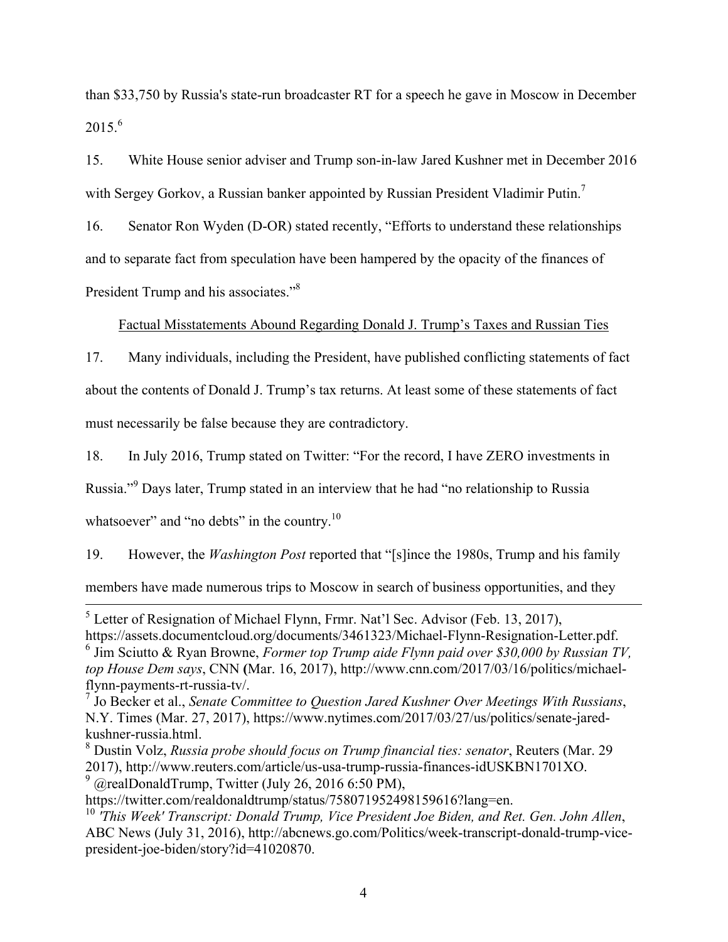than \$33,750 by Russia's state-run broadcaster RT for a speech he gave in Moscow in December  $2015<sup>6</sup>$ 

15. White House senior adviser and Trump son-in-law Jared Kushner met in December 2016 with Sergey Gorkov, a Russian banker appointed by Russian President Vladimir Putin.<sup>7</sup>

16. Senator Ron Wyden (D-OR) stated recently, "Efforts to understand these relationships and to separate fact from speculation have been hampered by the opacity of the finances of President Trump and his associates."<sup>8</sup>

## Factual Misstatements Abound Regarding Donald J. Trump's Taxes and Russian Ties

17. Many individuals, including the President, have published conflicting statements of fact about the contents of Donald J. Trump's tax returns. At least some of these statements of fact must necessarily be false because they are contradictory.

18. In July 2016, Trump stated on Twitter: "For the record, I have ZERO investments in

Russia."9 Days later, Trump stated in an interview that he had "no relationship to Russia

whatsoever" and "no debts" in the country.<sup>10</sup>

19. However, the *Washington Post* reported that "[s]ince the 1980s, Trump and his family members have made numerous trips to Moscow in search of business opportunities, and they

 <sup>5</sup> Letter of Resignation of Michael Flynn, Frmr. Nat'l Sec. Advisor (Feb. 13, 2017),

https://assets.documentcloud.org/documents/3461323/Michael-Flynn-Resignation-Letter.pdf. <sup>6</sup> Jim Sciutto & Ryan Browne, *Former top Trump aide Flynn paid over \$30,000 by Russian TV, top House Dem says*, CNN **(**Mar. 16, 2017), http://www.cnn.com/2017/03/16/politics/michaelflynn-payments-rt-russia-tv/.

<sup>7</sup> Jo Becker et al., *Senate Committee to Question Jared Kushner Over Meetings With Russians*, N.Y. Times (Mar. 27, 2017), https://www.nytimes.com/2017/03/27/us/politics/senate-jaredkushner-russia.html.

<sup>8</sup> Dustin Volz, *Russia probe should focus on Trump financial ties: senator*, Reuters (Mar. 29 2017), http://www.reuters.com/article/us-usa-trump-russia-finances-idUSKBN1701XO.  $9$  @realDonaldTrump, Twitter (July 26, 2016 6:50 PM),

https://twitter.com/realdonaldtrump/status/758071952498159616?lang=en.

<sup>10</sup> *'This Week' Transcript: Donald Trump, Vice President Joe Biden, and Ret. Gen. John Allen*, ABC News (July 31, 2016), http://abcnews.go.com/Politics/week-transcript-donald-trump-vicepresident-joe-biden/story?id=41020870.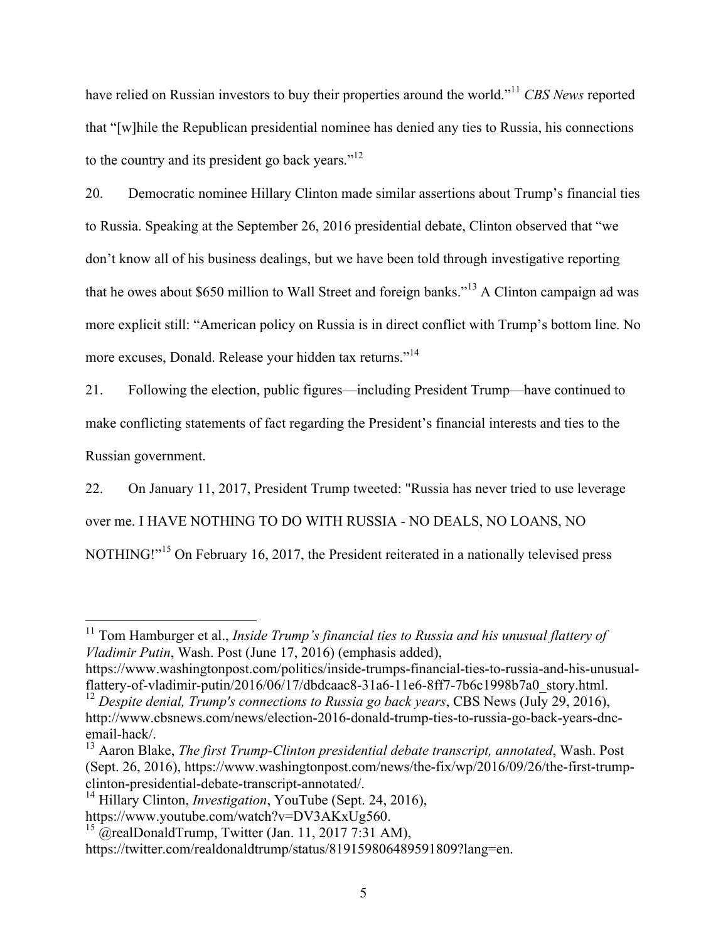have relied on Russian investors to buy their properties around the world."11 *CBS News* reported that "[w]hile the Republican presidential nominee has denied any ties to Russia, his connections to the country and its president go back years."<sup>12</sup>

20. Democratic nominee Hillary Clinton made similar assertions about Trump's financial ties to Russia. Speaking at the September 26, 2016 presidential debate, Clinton observed that "we don't know all of his business dealings, but we have been told through investigative reporting that he owes about \$650 million to Wall Street and foreign banks."<sup>13</sup> A Clinton campaign ad was more explicit still: "American policy on Russia is in direct conflict with Trump's bottom line. No more excuses, Donald. Release your hidden tax returns."<sup>14</sup>

21. Following the election, public figures—including President Trump—have continued to make conflicting statements of fact regarding the President's financial interests and ties to the Russian government.

22. On January 11, 2017, President Trump tweeted: "Russia has never tried to use leverage over me. I HAVE NOTHING TO DO WITH RUSSIA - NO DEALS, NO LOANS, NO NOTHING!"<sup>15</sup> On February 16, 2017, the President reiterated in a nationally televised press

<sup>&</sup>lt;sup>11</sup> Tom Hamburger et al., *Inside Trump's financial ties to Russia and his unusual flattery of Vladimir Putin*, Wash. Post (June 17, 2016) (emphasis added),

https://www.washingtonpost.com/politics/inside-trumps-financial-ties-to-russia-and-his-unusualflattery-of-vladimir-putin/2016/06/17/dbdcaac8-31a6-11e6-8ff7-7b6c1998b7a0\_story.html.

<sup>&</sup>lt;sup>12</sup> Despite denial, Trump's connections to Russia go back years, CBS News (July 29, 2016), http://www.cbsnews.com/news/election-2016-donald-trump-ties-to-russia-go-back-years-dncemail-hack/.

<sup>13</sup> Aaron Blake, *The first Trump-Clinton presidential debate transcript, annotated*, Wash. Post (Sept. 26, 2016), https://www.washingtonpost.com/news/the-fix/wp/2016/09/26/the-first-trumpclinton-presidential-debate-transcript-annotated/.

<sup>14</sup> Hillary Clinton, *Investigation*, YouTube (Sept. 24, 2016), https://www.youtube.com/watch?v=DV3AKxUg560.

 $^{15}$  @realDonaldTrump, Twitter (Jan. 11, 2017 7:31 AM),

https://twitter.com/realdonaldtrump/status/819159806489591809?lang=en.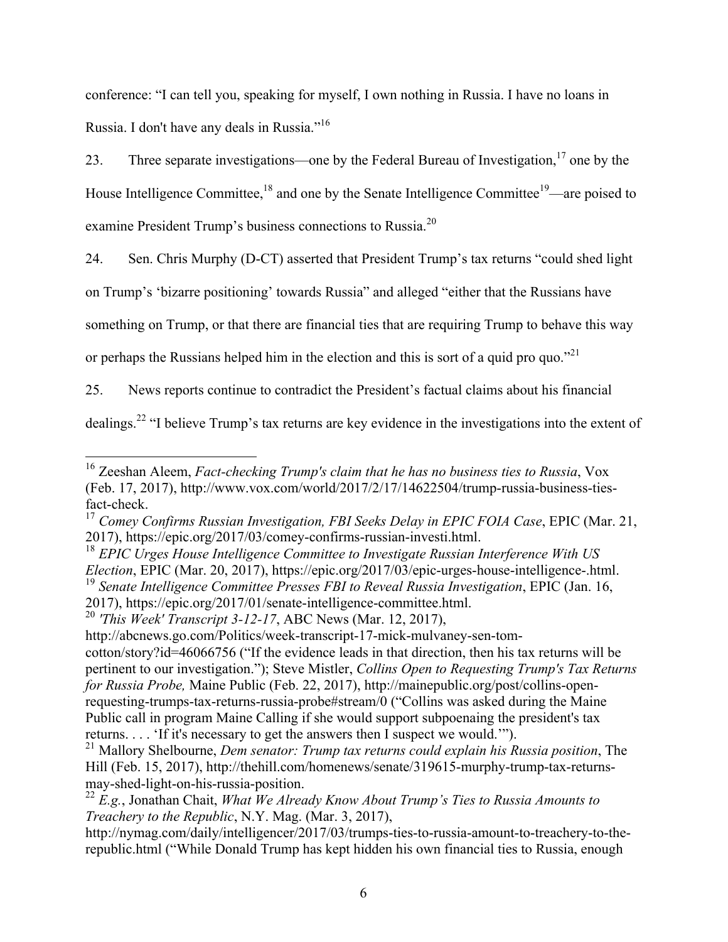conference: "I can tell you, speaking for myself, I own nothing in Russia. I have no loans in Russia. I don't have any deals in Russia."16

23. Three separate investigations—one by the Federal Bureau of Investigation,<sup>17</sup> one by the House Intelligence Committee,<sup>18</sup> and one by the Senate Intelligence Committee<sup>19</sup>—are poised to examine President Trump's business connections to Russia.<sup>20</sup>

24. Sen. Chris Murphy (D-CT) asserted that President Trump's tax returns "could shed light

on Trump's 'bizarre positioning' towards Russia" and alleged "either that the Russians have

something on Trump, or that there are financial ties that are requiring Trump to behave this way

or perhaps the Russians helped him in the election and this is sort of a quid pro quo."<sup>21</sup>

25. News reports continue to contradict the President's factual claims about his financial

dealings.22 "I believe Trump's tax returns are key evidence in the investigations into the extent of

http://nymag.com/daily/intelligencer/2017/03/trumps-ties-to-russia-amount-to-treachery-to-therepublic.html ("While Donald Trump has kept hidden his own financial ties to Russia, enough

 <sup>16</sup> Zeeshan Aleem, *Fact-checking Trump's claim that he has no business ties to Russia*, Vox (Feb. 17, 2017), http://www.vox.com/world/2017/2/17/14622504/trump-russia-business-tiesfact-check.

<sup>17</sup> *Comey Confirms Russian Investigation, FBI Seeks Delay in EPIC FOIA Case*, EPIC (Mar. 21, 2017), https://epic.org/2017/03/comey-confirms-russian-investi.html.

<sup>18</sup> *EPIC Urges House Intelligence Committee to Investigate Russian Interference With US Election*, EPIC (Mar. 20, 2017), https://epic.org/2017/03/epic-urges-house-intelligence-.html. <sup>19</sup> *Senate Intelligence Committee Presses FBI to Reveal Russia Investigation*, EPIC (Jan. 16, 2017), https://epic.org/2017/01/senate-intelligence-committee.html.

<sup>20</sup> *'This Week' Transcript 3-12-17*, ABC News (Mar. 12, 2017),

http://abcnews.go.com/Politics/week-transcript-17-mick-mulvaney-sen-tomcotton/story?id=46066756 ("If the evidence leads in that direction, then his tax returns will be pertinent to our investigation."); Steve Mistler, *Collins Open to Requesting Trump's Tax Returns for Russia Probe,* Maine Public (Feb. 22, 2017), http://mainepublic.org/post/collins-openrequesting-trumps-tax-returns-russia-probe#stream/0 ("Collins was asked during the Maine Public call in program Maine Calling if she would support subpoenaing the president's tax returns. . . . 'If it's necessary to get the answers then I suspect we would.'").

<sup>21</sup> Mallory Shelbourne, *Dem senator: Trump tax returns could explain his Russia position*, The Hill (Feb. 15, 2017), http://thehill.com/homenews/senate/319615-murphy-trump-tax-returnsmay-shed-light-on-his-russia-position.

<sup>22</sup> *E.g.*, Jonathan Chait, *What We Already Know About Trump's Ties to Russia Amounts to Treachery to the Republic*, N.Y. Mag. (Mar. 3, 2017),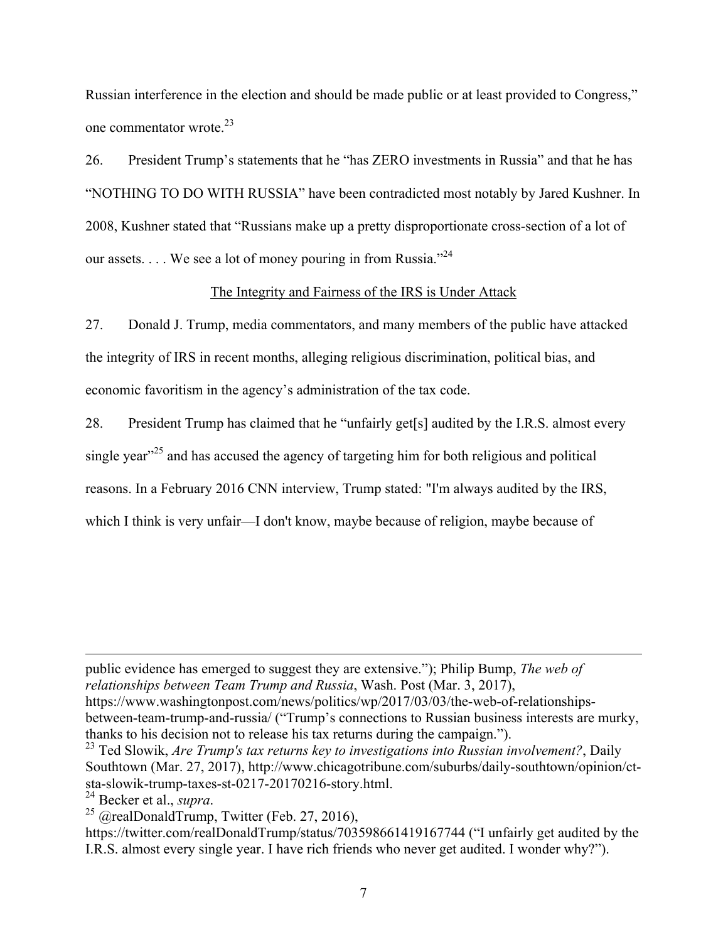Russian interference in the election and should be made public or at least provided to Congress," one commentator wrote  $^{23}$ 

26. President Trump's statements that he "has ZERO investments in Russia" and that he has "NOTHING TO DO WITH RUSSIA" have been contradicted most notably by Jared Kushner. In 2008, Kushner stated that "Russians make up a pretty disproportionate cross-section of a lot of our assets. . . . We see a lot of money pouring in from Russia."<sup>24</sup>

## The Integrity and Fairness of the IRS is Under Attack

27. Donald J. Trump, media commentators, and many members of the public have attacked the integrity of IRS in recent months, alleging religious discrimination, political bias, and economic favoritism in the agency's administration of the tax code.

28. President Trump has claimed that he "unfairly get[s] audited by the I.R.S. almost every single year<sup> $25$ </sup> and has accused the agency of targeting him for both religious and political reasons. In a February 2016 CNN interview, Trump stated: "I'm always audited by the IRS, which I think is very unfair—I don't know, maybe because of religion, maybe because of

public evidence has emerged to suggest they are extensive."); Philip Bump, *The web of relationships between Team Trump and Russia*, Wash. Post (Mar. 3, 2017), https://www.washingtonpost.com/news/politics/wp/2017/03/03/the-web-of-relationshipsbetween-team-trump-and-russia/ ("Trump's connections to Russian business interests are murky, thanks to his decision not to release his tax returns during the campaign.").

<u> 1989 - Andrea Santa Andrea Andrea Andrea Andrea Andrea Andrea Andrea Andrea Andrea Andrea Andrea Andrea Andr</u>

<sup>23</sup> Ted Slowik, *Are Trump's tax returns key to investigations into Russian involvement?*, Daily Southtown (Mar. 27, 2017), http://www.chicagotribune.com/suburbs/daily-southtown/opinion/ctsta-slowik-trump-taxes-st-0217-20170216-story.html.<br><sup>24</sup> Becker et al., *supra*.

<sup>&</sup>lt;sup>25</sup> @realDonaldTrump, Twitter (Feb. 27, 2016),

https://twitter.com/realDonaldTrump/status/703598661419167744 ("I unfairly get audited by the I.R.S. almost every single year. I have rich friends who never get audited. I wonder why?").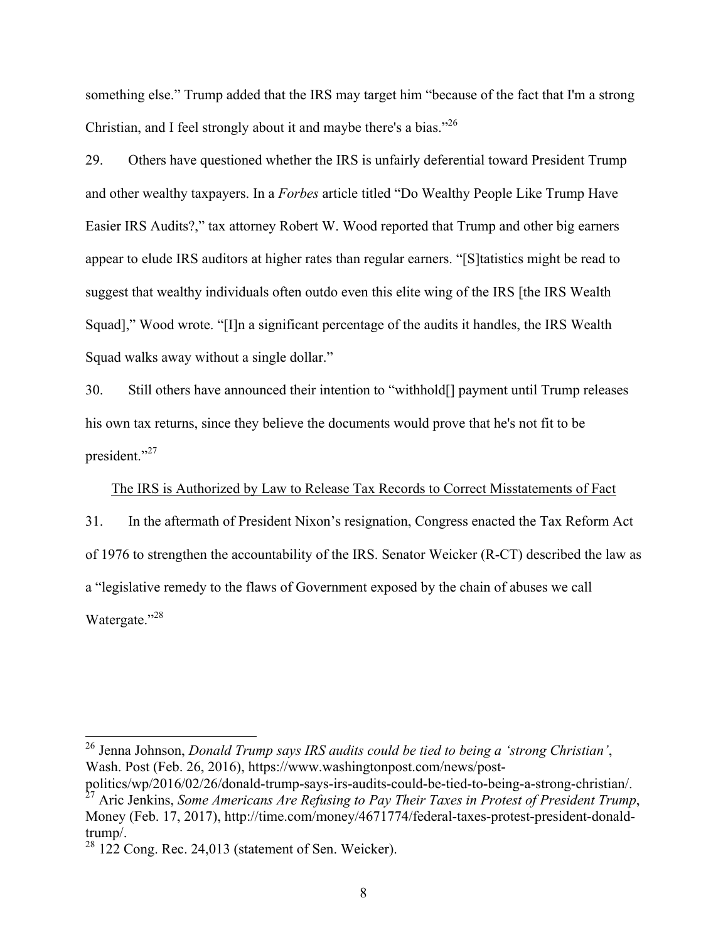something else." Trump added that the IRS may target him "because of the fact that I'm a strong Christian, and I feel strongly about it and maybe there's a bias."<sup>26</sup>

29. Others have questioned whether the IRS is unfairly deferential toward President Trump and other wealthy taxpayers. In a *Forbes* article titled "Do Wealthy People Like Trump Have Easier IRS Audits?," tax attorney Robert W. Wood reported that Trump and other big earners appear to elude IRS auditors at higher rates than regular earners. "[S]tatistics might be read to suggest that wealthy individuals often outdo even this elite wing of the IRS [the IRS Wealth Squad]," Wood wrote. "[I]n a significant percentage of the audits it handles, the IRS Wealth Squad walks away without a single dollar."

30. Still others have announced their intention to "withhold[] payment until Trump releases his own tax returns, since they believe the documents would prove that he's not fit to be president."<sup>27</sup>

The IRS is Authorized by Law to Release Tax Records to Correct Misstatements of Fact

31. In the aftermath of President Nixon's resignation, Congress enacted the Tax Reform Act of 1976 to strengthen the accountability of the IRS. Senator Weicker (R-CT) described the law as a "legislative remedy to the flaws of Government exposed by the chain of abuses we call Watergate."<sup>28</sup>

 <sup>26</sup> Jenna Johnson, *Donald Trump says IRS audits could be tied to being a 'strong Christian'*, Wash. Post (Feb. 26, 2016), https://www.washingtonpost.com/news/post-

politics/wp/2016/02/26/donald-trump-says-irs-audits-could-be-tied-to-being-a-strong-christian/. <sup>27</sup> Aric Jenkins, *Some Americans Are Refusing to Pay Their Taxes in Protest of President Trump*, Money (Feb. 17, 2017), http://time.com/money/4671774/federal-taxes-protest-president-donaldtrump/.

 $28$  122 Cong. Rec. 24,013 (statement of Sen. Weicker).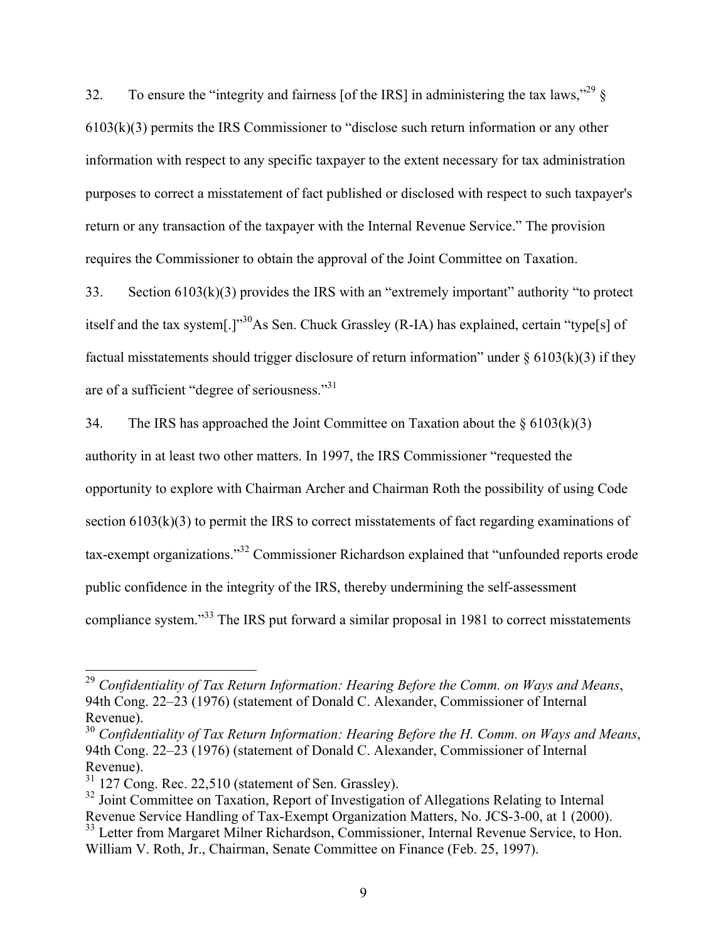32. To ensure the "integrity and fairness [of the IRS] in administering the tax laws," $^{29}$   $\delta$ 6103(k)(3) permits the IRS Commissioner to "disclose such return information or any other information with respect to any specific taxpayer to the extent necessary for tax administration purposes to correct a misstatement of fact published or disclosed with respect to such taxpayer's return or any transaction of the taxpayer with the Internal Revenue Service." The provision requires the Commissioner to obtain the approval of the Joint Committee on Taxation.

33. Section 6103(k)(3) provides the IRS with an "extremely important" authority "to protect itself and the tax system[.]"<sup>30</sup>As Sen. Chuck Grassley (R-IA) has explained, certain "type[s] of factual misstatements should trigger disclosure of return information" under  $\S 6103(k)(3)$  if they are of a sufficient "degree of seriousness."31

34. The IRS has approached the Joint Committee on Taxation about the  $\S 6103(k)(3)$ authority in at least two other matters. In 1997, the IRS Commissioner "requested the opportunity to explore with Chairman Archer and Chairman Roth the possibility of using Code section 6103(k)(3) to permit the IRS to correct misstatements of fact regarding examinations of tax-exempt organizations."32 Commissioner Richardson explained that "unfounded reports erode public confidence in the integrity of the IRS, thereby undermining the self-assessment compliance system."<sup>33</sup> The IRS put forward a similar proposal in 1981 to correct misstatements

 <sup>29</sup> *Confidentiality of Tax Return Information: Hearing Before the Comm. on Ways and Means*, 94th Cong. 22–23 (1976) (statement of Donald C. Alexander, Commissioner of Internal Revenue).

<sup>30</sup> *Confidentiality of Tax Return Information: Hearing Before the H. Comm. on Ways and Means*, 94th Cong. 22–23 (1976) (statement of Donald C. Alexander, Commissioner of Internal Revenue).

<sup>&</sup>lt;sup>31</sup> 127 Cong. Rec. 22,510 (statement of Sen. Grassley).

<sup>&</sup>lt;sup>32</sup> Joint Committee on Taxation, Report of Investigation of Allegations Relating to Internal Revenue Service Handling of Tax-Exempt Organization Matters, No. JCS-3-00, at 1 (2000).

<sup>&</sup>lt;sup>33</sup> Letter from Margaret Milner Richardson, Commissioner, Internal Revenue Service, to Hon. William V. Roth, Jr., Chairman, Senate Committee on Finance (Feb. 25, 1997).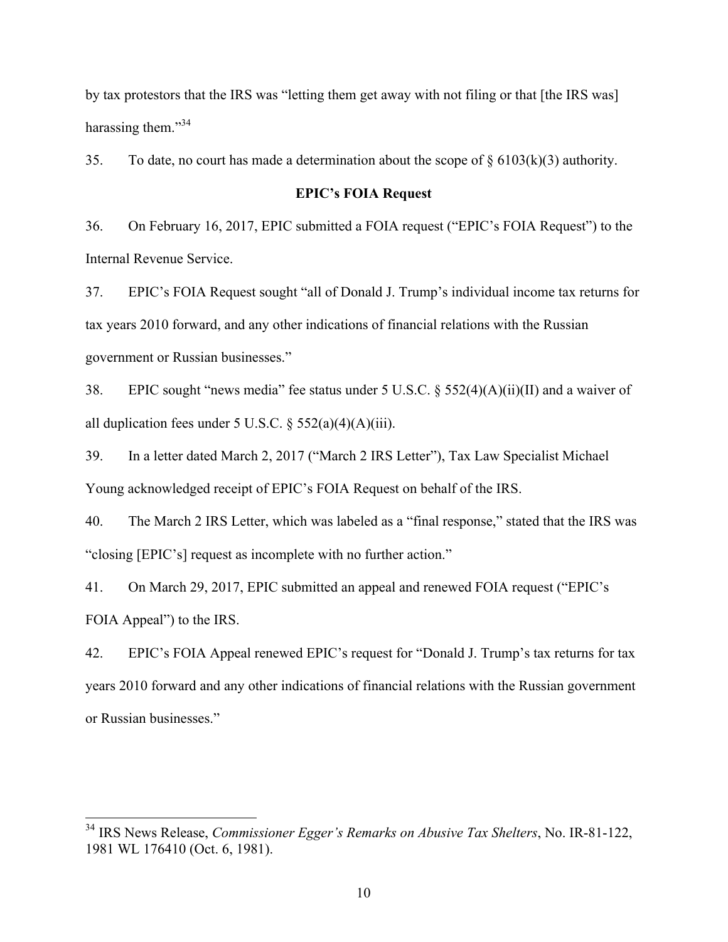by tax protestors that the IRS was "letting them get away with not filing or that [the IRS was] harassing them."<sup>34</sup>

35. To date, no court has made a determination about the scope of  $\S 6103(k)(3)$  authority.

## **EPIC's FOIA Request**

36. On February 16, 2017, EPIC submitted a FOIA request ("EPIC's FOIA Request") to the Internal Revenue Service.

37. EPIC's FOIA Request sought "all of Donald J. Trump's individual income tax returns for tax years 2010 forward, and any other indications of financial relations with the Russian government or Russian businesses."

38. EPIC sought "news media" fee status under 5 U.S.C. § 552(4)(A)(ii)(II) and a waiver of all duplication fees under 5 U.S.C.  $\S$  552(a)(4)(A)(iii).

39. In a letter dated March 2, 2017 ("March 2 IRS Letter"), Tax Law Specialist Michael Young acknowledged receipt of EPIC's FOIA Request on behalf of the IRS.

40. The March 2 IRS Letter, which was labeled as a "final response," stated that the IRS was "closing [EPIC's] request as incomplete with no further action."

41. On March 29, 2017, EPIC submitted an appeal and renewed FOIA request ("EPIC's FOIA Appeal") to the IRS.

42. EPIC's FOIA Appeal renewed EPIC's request for "Donald J. Trump's tax returns for tax years 2010 forward and any other indications of financial relations with the Russian government or Russian businesses."

 <sup>34</sup> IRS News Release, *Commissioner Egger's Remarks on Abusive Tax Shelters*, No. IR-81-122, 1981 WL 176410 (Oct. 6, 1981).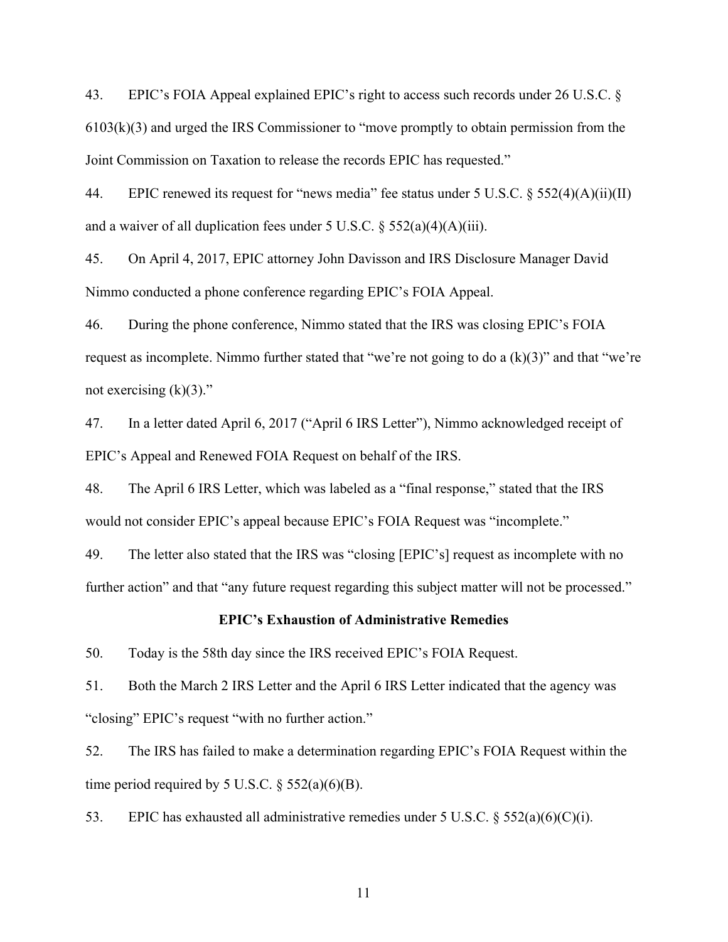43. EPIC's FOIA Appeal explained EPIC's right to access such records under 26 U.S.C. § 6103(k)(3) and urged the IRS Commissioner to "move promptly to obtain permission from the Joint Commission on Taxation to release the records EPIC has requested."

44. EPIC renewed its request for "news media" fee status under 5 U.S.C. § 552(4)(A)(ii)(II) and a waiver of all duplication fees under 5 U.S.C.  $\S$  552(a)(4)(A)(iii).

45. On April 4, 2017, EPIC attorney John Davisson and IRS Disclosure Manager David Nimmo conducted a phone conference regarding EPIC's FOIA Appeal.

46. During the phone conference, Nimmo stated that the IRS was closing EPIC's FOIA request as incomplete. Nimmo further stated that "we're not going to do a (k)(3)" and that "we're not exercising  $(k)(3)$ ."

47. In a letter dated April 6, 2017 ("April 6 IRS Letter"), Nimmo acknowledged receipt of EPIC's Appeal and Renewed FOIA Request on behalf of the IRS.

48. The April 6 IRS Letter, which was labeled as a "final response," stated that the IRS would not consider EPIC's appeal because EPIC's FOIA Request was "incomplete."

49. The letter also stated that the IRS was "closing [EPIC's] request as incomplete with no further action" and that "any future request regarding this subject matter will not be processed."

#### **EPIC's Exhaustion of Administrative Remedies**

50. Today is the 58th day since the IRS received EPIC's FOIA Request.

51. Both the March 2 IRS Letter and the April 6 IRS Letter indicated that the agency was "closing" EPIC's request "with no further action."

52. The IRS has failed to make a determination regarding EPIC's FOIA Request within the time period required by 5 U.S.C.  $\S$  552(a)(6)(B).

53. EPIC has exhausted all administrative remedies under 5 U.S.C. § 552(a)(6)(C)(i).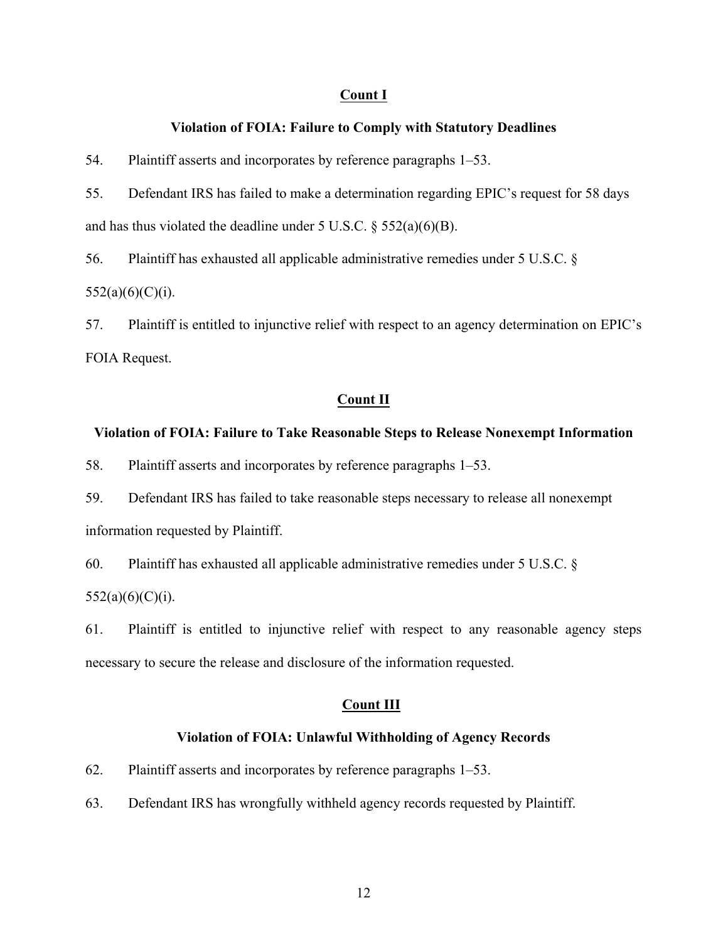## **Count I**

#### **Violation of FOIA: Failure to Comply with Statutory Deadlines**

54. Plaintiff asserts and incorporates by reference paragraphs 1–53.

55. Defendant IRS has failed to make a determination regarding EPIC's request for 58 days and has thus violated the deadline under 5 U.S.C.  $\S$  552(a)(6)(B).

56. Plaintiff has exhausted all applicable administrative remedies under 5 U.S.C. §  $552(a)(6)(C)(i)$ .

57. Plaintiff is entitled to injunctive relief with respect to an agency determination on EPIC's FOIA Request.

## **Count II**

#### **Violation of FOIA: Failure to Take Reasonable Steps to Release Nonexempt Information**

58. Plaintiff asserts and incorporates by reference paragraphs 1–53.

59. Defendant IRS has failed to take reasonable steps necessary to release all nonexempt information requested by Plaintiff.

60. Plaintiff has exhausted all applicable administrative remedies under 5 U.S.C. §  $552(a)(6)(C)(i)$ .

61. Plaintiff is entitled to injunctive relief with respect to any reasonable agency steps necessary to secure the release and disclosure of the information requested.

## **Count III**

#### **Violation of FOIA: Unlawful Withholding of Agency Records**

62. Plaintiff asserts and incorporates by reference paragraphs 1–53.

63. Defendant IRS has wrongfully withheld agency records requested by Plaintiff.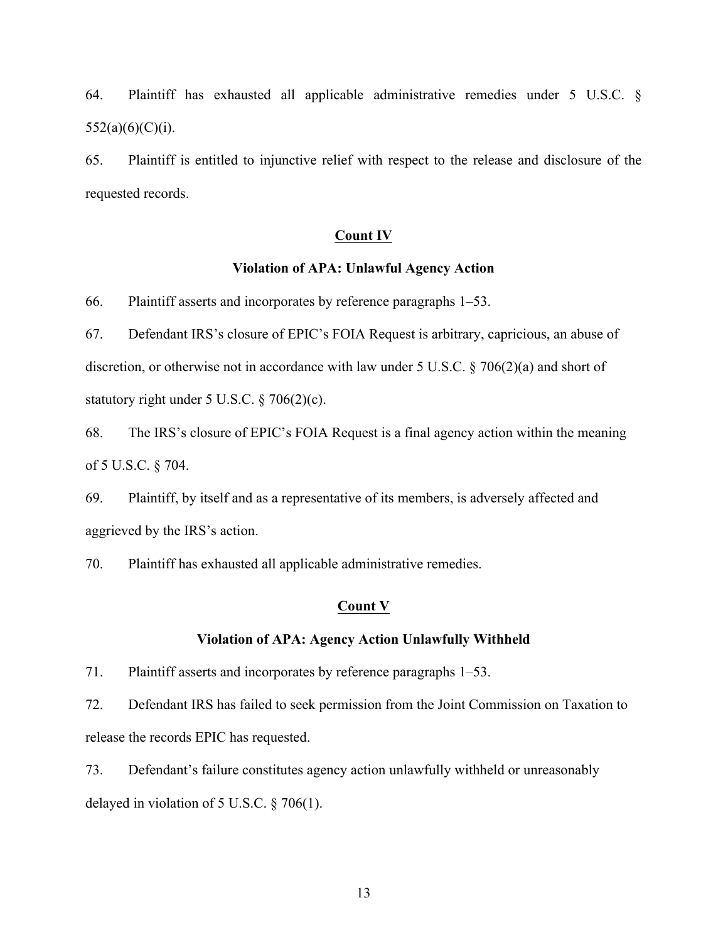64. Plaintiff has exhausted all applicable administrative remedies under 5 U.S.C. §  $552(a)(6)(C)(i)$ .

65. Plaintiff is entitled to injunctive relief with respect to the release and disclosure of the requested records.

## **Count IV**

## **Violation of APA: Unlawful Agency Action**

66. Plaintiff asserts and incorporates by reference paragraphs 1–53.

67. Defendant IRS's closure of EPIC's FOIA Request is arbitrary, capricious, an abuse of discretion, or otherwise not in accordance with law under 5 U.S.C. § 706(2)(a) and short of statutory right under 5 U.S.C. § 706(2)(c).

68. The IRS's closure of EPIC's FOIA Request is a final agency action within the meaning of 5 U.S.C. § 704.

69. Plaintiff, by itself and as a representative of its members, is adversely affected and aggrieved by the IRS's action.

70. Plaintiff has exhausted all applicable administrative remedies.

## **Count V**

#### **Violation of APA: Agency Action Unlawfully Withheld**

71. Plaintiff asserts and incorporates by reference paragraphs 1–53.

72. Defendant IRS has failed to seek permission from the Joint Commission on Taxation to release the records EPIC has requested.

73. Defendant's failure constitutes agency action unlawfully withheld or unreasonably delayed in violation of 5 U.S.C. § 706(1).